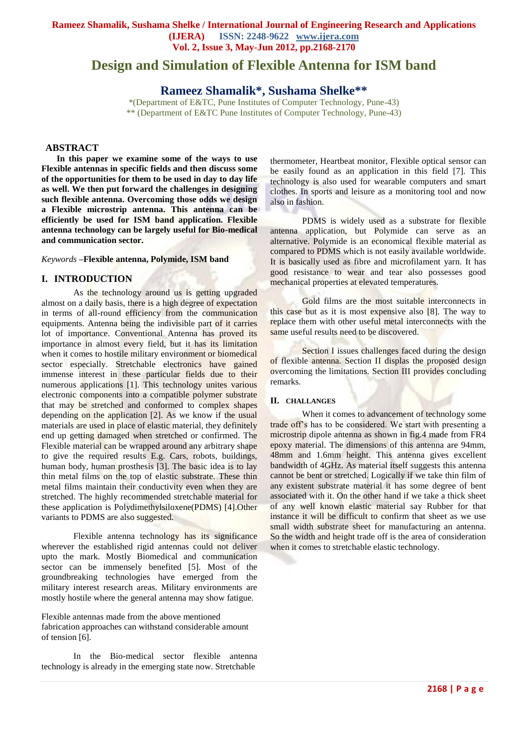### **Rameez Shamalik, Sushama Shelke / International Journal of Engineering Research and Applications (IJERA) ISSN: 2248-9622 www.ijera.com Vol. 2, Issue 3, May-Jun 2012, pp.2168-2170**

# **Design and Simulation of Flexible Antenna for ISM band**

## **Rameez Shamalik\*, Sushama Shelke\*\***

\*(Department of E&TC, Pune Institutes of Computer Technology, Pune-43) \*\* (Department of E&TC Pune Institutes of Computer Technology, Pune-43)

#### **ABSTRACT**

**In this paper we examine some of the ways to use Flexible antennas in specific fields and then discuss some of the opportunities for them to be used in day to day life as well. We then put forward the challenges in designing such flexible antenna. Overcoming those odds we design a Flexible microstrip antenna. This antenna can be efficiently be used for ISM band application. Flexible antenna technology can be largely useful for Bio-medical and communication sector.**

*Keywords* **–Flexible antenna, Polymide, ISM band**

#### **I. INTRODUCTION**

As the technology around us is getting upgraded almost on a daily basis, there is a high degree of expectation in terms of all-round efficiency from the communication equipments. Antenna being the indivisible part of it carries lot of importance. Conventional Antenna has proved its importance in almost every field, but it has its limitation when it comes to hostile military environment or biomedical sector especially. Stretchable electronics have gained immense interest in these particular fields due to their numerous applications [1]. This technology unites various electronic components into a compatible polymer substrate that may be stretched and conformed to complex shapes depending on the application [2]. As we know if the usual materials are used in place of elastic material, they definitely end up getting damaged when stretched or confirmed. The Flexible material can be wrapped around any arbitrary shape to give the required results E.g. Cars, robots, buildings, human body, human prosthesis [3]. The basic idea is to lay thin metal films on the top of elastic substrate. These thin metal films maintain their conductivity even when they are stretched. The highly recommended stretchable material for these application is Polydimethylsiloxene(PDMS) [4].Other variants to PDMS are also suggested.

Flexible antenna technology has its significance wherever the established rigid antennas could not deliver upto the mark. Mostly Biomedical and communication sector can be immensely benefited [5]. Most of the groundbreaking technologies have emerged from the military interest research areas. Military environments are mostly hostile where the general antenna may show fatigue.

Flexible antennas made from the above mentioned fabrication approaches can withstand considerable amount of tension [6].

In the Bio-medical sector flexible antenna technology is already in the emerging state now. Stretchable

thermometer, Heartbeat monitor, Flexible optical sensor can be easily found as an application in this field [7]. This technology is also used for wearable computers and smart clothes. In sports and leisure as a monitoring tool and now also in fashion.

PDMS is widely used as a substrate for flexible antenna application, but Polymide can serve as an alternative. Polymide is an economical flexible material as compared to PDMS which is not easily available worldwide. It is basically used as fibre and microfilament yarn. It has good resistance to wear and tear also possesses good mechanical properties at elevated temperatures.

Gold films are the most suitable interconnects in this case but as it is most expensive also [8]. The way to replace them with other useful metal interconnects with the same useful results need to be discovered.

Section I issues challenges faced during the design of flexible antenna. Section II displas the proposed design overcoming the limitations. Section III provides concluding remarks.

#### **II. CHALLANGES**

When it comes to advancement of technology some trade off's has to be considered. We start with presenting a microstrip dipole antenna as shown in fig.4 made from FR4 epoxy material. The dimensions of this antenna are 94mm, 48mm and 1.6mm height. This antenna gives excellent bandwidth of 4GHz. As material itself suggests this antenna cannot be bent or stretched. Logically if we take thin film of any existent substrate material it has some degree of bent associated with it. On the other hand if we take a thick sheet of any well known elastic material say Rubber for that instance it will be difficult to confirm that sheet as we use small width substrate sheet for manufacturing an antenna. So the width and height trade off is the area of consideration when it comes to stretchable elastic technology.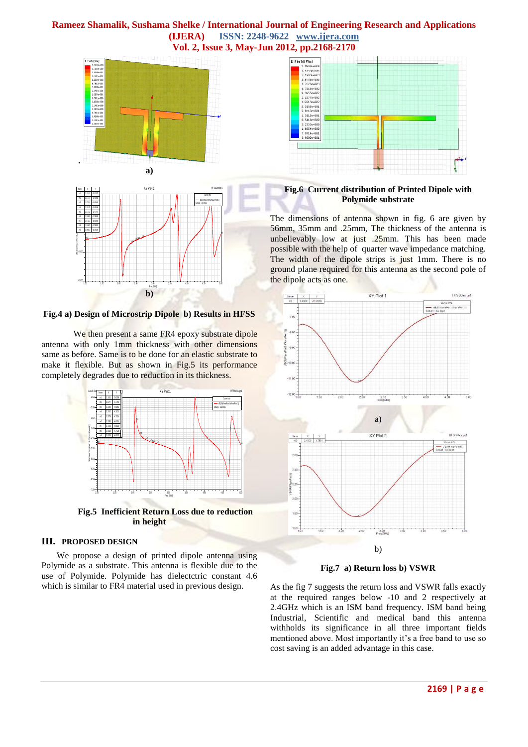### **Rameez Shamalik, Sushama Shelke / International Journal of Engineering Research and Applications (IJERA) ISSN: 2248-9622 www.ijera.com Vol. 2, Issue 3, May-Jun 2012, pp.2168-2170**





**Fig.4 a) Design of Microstrip Dipole b) Results in HFSS**

We then present a same FR4 epoxy substrate dipole antenna with only 1mm thickness with other dimensions same as before. Same is to be done for an elastic substrate to make it flexible. But as shown in Fig.5 its performance completely degrades due to reduction in its thickness.



**Fig.5 Inefficient Return Loss due to reduction in height**

#### **III. PROPOSED DESIGN**

We propose a design of printed dipole antenna using Polymide as a substrate. This antenna is flexible due to the use of Polymide. Polymide has dielectctric constant 4.6 which is similar to FR4 material used in previous design.



### **Fig.6 Current distribution of Printed Dipole with Polymide substrate**

The dimensions of antenna shown in fig. 6 are given by 56mm, 35mm and .25mm, The thickness of the antenna is unbelievably low at just .25mm. This has been made possible with the help of quarter wave impedance matching. The width of the dipole strips is just 1mm. There is no ground plane required for this antenna as the second pole of the dipole acts as one.



**Fig.7 a) Return loss b) VSWR**

As the fig 7 suggests the return loss and VSWR falls exactly at the required ranges below -10 and 2 respectively at 2.4GHz which is an ISM band frequency. ISM band being Industrial, Scientific and medical band this antenna withholds its significance in all three important fields mentioned above. Most importantly it's a free band to use so cost saving is an added advantage in this case.